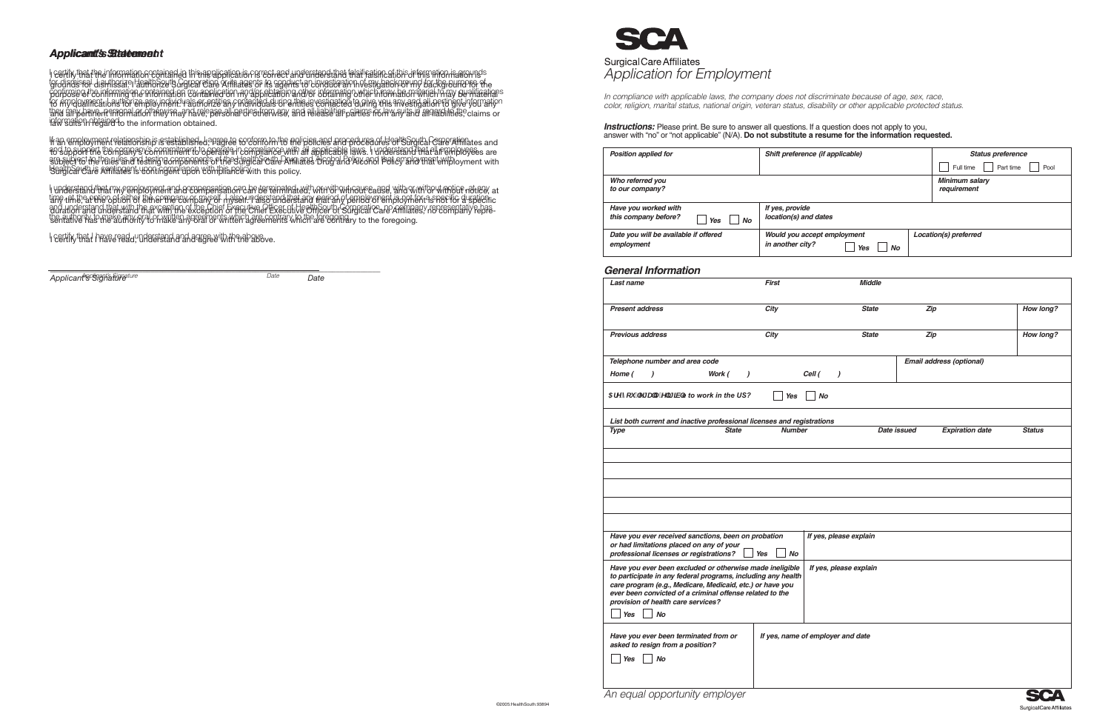

In compliance with applicable laws, the company does not discriminate because of age, sex, race,<br>color, religion, marital status, national origin, veteran status, disability or other applicable protected status.

# **Instructions:** Please print. Be sure to answer all questions. If a question does not apply to you, answer with "no" or "not applicable" (N/A). Do not substitute a resume for the information requested.

| <b>Position applied for</b>                                      | Shift preference (if applicable)                             | <b>Status preference</b>             |
|------------------------------------------------------------------|--------------------------------------------------------------|--------------------------------------|
|                                                                  |                                                              | Full time<br>Part time<br>Pool       |
| Who referred you<br>to our company?                              |                                                              | <b>Minimum salary</b><br>requirement |
| Have you worked with<br>this company before?<br><b>No</b><br>Yes | If yes, provide<br>location(s) and dates                     |                                      |
| Date you will be available if offered<br>employment              | Would you accept employment<br>in another city?<br>Yes<br>No | Location(s) preferred                |

### **General Information**

| Last name                                                                                                                 | First            |           | <b>Middle</b>          |             |                          |               |
|---------------------------------------------------------------------------------------------------------------------------|------------------|-----------|------------------------|-------------|--------------------------|---------------|
|                                                                                                                           |                  |           |                        |             |                          |               |
| <b>Present address</b>                                                                                                    | City             |           | <b>State</b>           | Zip         |                          | How long?     |
|                                                                                                                           |                  |           |                        |             |                          |               |
| <b>Previous address</b>                                                                                                   | City             |           | <b>State</b>           | Zip         |                          | How long?     |
|                                                                                                                           |                  |           |                        |             |                          |               |
| Telephone number and area code                                                                                            |                  |           |                        |             | Email address (optional) |               |
| Work (<br>Home (<br>$\mathcal{L}$<br>$\mathcal{L}$                                                                        |                  | Cell (    | $\lambda$              |             |                          |               |
|                                                                                                                           |                  |           |                        |             |                          |               |
| 5fY'nci "Y[U'mY][]V'e to work in the US?                                                                                  | <b>Yes</b>       | <b>No</b> |                        |             |                          |               |
|                                                                                                                           |                  |           |                        |             |                          |               |
| List both current and inactive professional licenses and registrations<br><b>State</b><br><b>Type</b>                     | <b>Number</b>    |           |                        | Date issued | <b>Expiration date</b>   | <b>Status</b> |
|                                                                                                                           |                  |           |                        |             |                          |               |
|                                                                                                                           |                  |           |                        |             |                          |               |
|                                                                                                                           |                  |           |                        |             |                          |               |
|                                                                                                                           |                  |           |                        |             |                          |               |
|                                                                                                                           |                  |           |                        |             |                          |               |
|                                                                                                                           |                  |           |                        |             |                          |               |
|                                                                                                                           |                  |           |                        |             |                          |               |
|                                                                                                                           |                  |           |                        |             |                          |               |
| Have you ever received sanctions, been on probation<br>or had limitations placed on any of your                           |                  |           | If yes, please explain |             |                          |               |
| professional licenses or registrations?                                                                                   | Yes<br><b>No</b> |           |                        |             |                          |               |
| Have you ever been excluded or otherwise made ineligible                                                                  |                  |           | If yes, please explain |             |                          |               |
| to participate in any federal programs, including any health<br>care program (e.g., Medicare, Medicaid, etc.) or have you |                  |           |                        |             |                          |               |
| ever been convicted of a criminal offense related to the                                                                  |                  |           |                        |             |                          |               |
| provision of health care services?                                                                                        |                  |           |                        |             |                          |               |
| $\mathit{No}$<br><b>Yes</b>                                                                                               |                  |           |                        |             |                          |               |
|                                                                                                                           |                  |           |                        |             |                          |               |
| Have you ever been terminated from or<br>If yes, name of employer and date<br>asked to resign from a position?            |                  |           |                        |             |                          |               |
| <b>No</b><br>Yes                                                                                                          |                  |           |                        |             |                          |               |
|                                                                                                                           |                  |           |                        |             |                          |               |
|                                                                                                                           |                  |           |                        |             |                          |               |
| An equal opportunity employer                                                                                             |                  |           |                        |             |                          |               |

Surgical Care Affiliates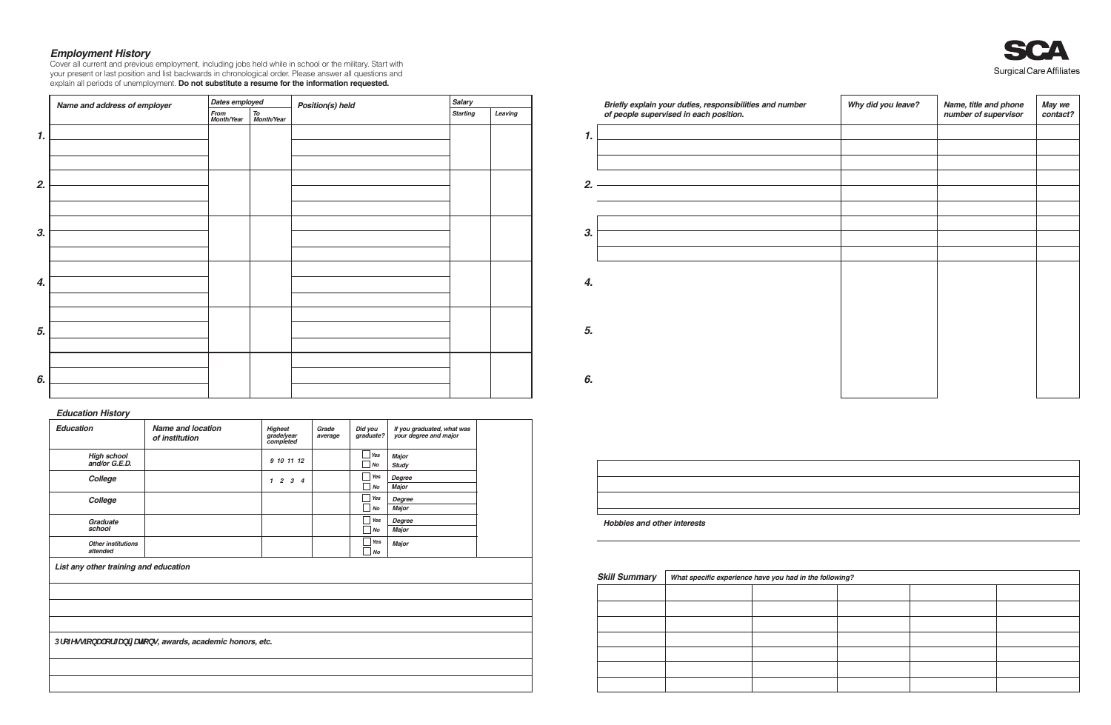**Employment History**<br>Cover all current and previous employment, including jobs held while in school or the military. Start with<br>your present or last position and list backwards in chronological order. Please answer all que explain all periods of unemployment. Do not substitute a resume for the information requested.

|                    | Name and address of employer | Dates employed     |                  | <b>Position(s) held</b> | <b>Salary</b>   |         |
|--------------------|------------------------------|--------------------|------------------|-------------------------|-----------------|---------|
|                    |                              | From<br>Month/Year | To<br>Month/Year |                         | <b>Starting</b> | Leaving |
| $\boldsymbol{1}$ . |                              |                    |                  |                         |                 |         |
|                    |                              |                    |                  |                         |                 |         |
|                    |                              |                    |                  |                         |                 |         |
| 2.                 |                              |                    |                  |                         |                 |         |
|                    |                              |                    |                  |                         |                 |         |
|                    |                              |                    |                  |                         |                 |         |
| 3.                 |                              |                    |                  |                         |                 |         |
|                    |                              |                    |                  |                         |                 |         |
|                    |                              |                    |                  |                         |                 |         |
| 4.                 |                              |                    |                  |                         |                 |         |
|                    |                              |                    |                  |                         |                 |         |
|                    |                              |                    |                  |                         |                 |         |
| 5.                 |                              |                    |                  |                         |                 |         |
|                    |                              |                    |                  |                         |                 |         |
| 6.                 |                              |                    |                  |                         |                 |         |
|                    |                              |                    |                  |                         |                 |         |
|                    |                              |                    |                  |                         |                 |         |

### **Education History**

| <b>Education</b>                                          | <b>Name and location</b><br>of institution | <b>Highest</b><br>grade/year<br>completed                                | Grade<br>average | Did you<br>graduate? | If you graduated, what was<br>your degree and major |  |  |
|-----------------------------------------------------------|--------------------------------------------|--------------------------------------------------------------------------|------------------|----------------------|-----------------------------------------------------|--|--|
| <b>High school</b><br>and/or G.E.D.                       |                                            | 9 10 11 12                                                               |                  | Yes<br>No            | <b>Major</b><br><b>Study</b>                        |  |  |
| College                                                   |                                            | $\overline{2}$<br>$\boldsymbol{\beta}$<br>$\mathbf{1}$<br>$\overline{4}$ |                  | Yes<br>No            | Degree<br><b>Major</b>                              |  |  |
| College                                                   |                                            |                                                                          |                  | Yes<br>No            | Degree<br><b>Major</b>                              |  |  |
| Graduate<br>school                                        |                                            |                                                                          |                  | Yes<br>No            | Degree<br>Major                                     |  |  |
| <b>Other institutions</b><br>attended                     |                                            |                                                                          |                  | Yes<br>No            | <b>Major</b>                                        |  |  |
| List any other training and education                     |                                            |                                                                          |                  |                      |                                                     |  |  |
|                                                           |                                            |                                                                          |                  |                      |                                                     |  |  |
|                                                           |                                            |                                                                          |                  |                      |                                                     |  |  |
|                                                           |                                            |                                                                          |                  |                      |                                                     |  |  |
| DfcZYgg]cbU cf[ Ub]nUr]cbg, awards, academic honors, etc. |                                            |                                                                          |                  |                      |                                                     |  |  |
|                                                           |                                            |                                                                          |                  |                      |                                                     |  |  |
|                                                           |                                            |                                                                          |                  |                      |                                                     |  |  |